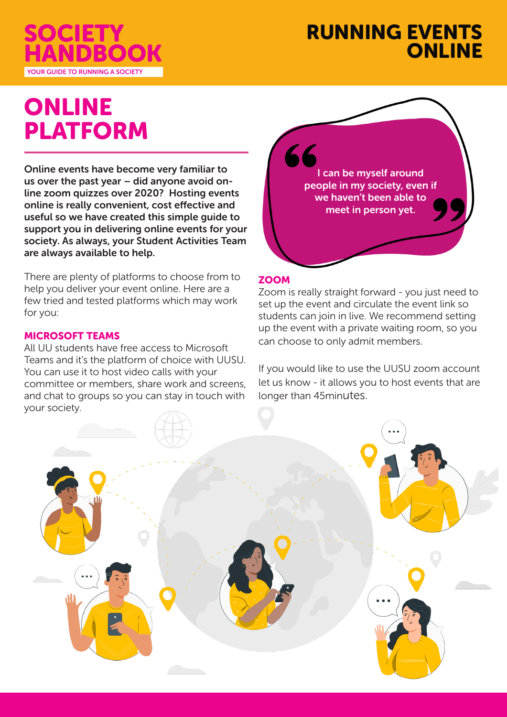

# RUNNING EVENTS **ONLINE**

# ONLINE PLATFORM

Online events have become very familiar to us over the past year – did anyone avoid online zoom quizzes over 2020? Hosting events online is really convenient, cost effective and useful so we have created this simple guide to support you in delivering online events for your society. As always, your Student Activities Team are always available to help.

There are plenty of platforms to choose from to help you deliver your event online. Here are a few tried and tested platforms which may work for you:

# MICROSOFT TEAMS

All UU students have free access to Microsoft Teams and it's the platform of choice with UUSU. You can use it to host video calls with your committee or members, share work and screens, and chat to groups so you can stay in touch with your society.



## **ZOOM**

Zoom is really straight forward - you just need to set up the event and circulate the event link so students can join in live. We recommend setting up the event with a private waiting room, so you can choose to only admit members.

If you would like to use the UUSU zoom account let us know - it allows you to host events that are longer than 45minutes.